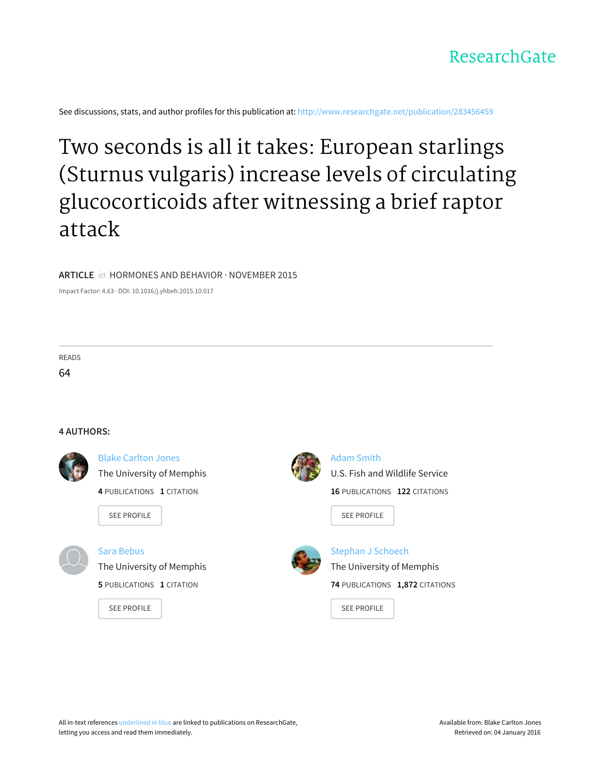

See discussions, stats, and author profiles for this publication at: [http://www.researchgate.net/publication/283456459](http://www.researchgate.net/publication/283456459_Two_seconds_is_all_it_takes_European_starlings_Sturnus_vulgaris_increase_levels_of_circulating_glucocorticoids_after_witnessing_a_brief_raptor_attack?enrichId=rgreq-ee60b45a-844c-4099-9fcc-40042fbb68ac&enrichSource=Y292ZXJQYWdlOzI4MzQ1NjQ1OTtBUzozMDMxNDk5ODA1NTMyMTZAMTQ0OTI4Nzk5NTgwNw%3D%3D&el=1_x_2)

# Two seconds is all it takes: European starlings (Sturnus vulgaris) increase levels of circulating [glucocorticoids](http://www.researchgate.net/publication/283456459_Two_seconds_is_all_it_takes_European_starlings_Sturnus_vulgaris_increase_levels_of_circulating_glucocorticoids_after_witnessing_a_brief_raptor_attack?enrichId=rgreq-ee60b45a-844c-4099-9fcc-40042fbb68ac&enrichSource=Y292ZXJQYWdlOzI4MzQ1NjQ1OTtBUzozMDMxNDk5ODA1NTMyMTZAMTQ0OTI4Nzk5NTgwNw%3D%3D&el=1_x_3) after witnessing a brief raptor attack

### **ARTICLE** in HORMONES AND BEHAVIOR · NOVEMBER 2015

Impact Factor: 4.63 · DOI: 10.1016/j.yhbeh.2015.10.017

READS 64

### **4 AUTHORS:**



Blake [Carlton](http://www.researchgate.net/profile/Blake_Jones4?enrichId=rgreq-ee60b45a-844c-4099-9fcc-40042fbb68ac&enrichSource=Y292ZXJQYWdlOzI4MzQ1NjQ1OTtBUzozMDMxNDk5ODA1NTMyMTZAMTQ0OTI4Nzk5NTgwNw%3D%3D&el=1_x_5) Jones The [University](http://www.researchgate.net/institution/The_University_of_Memphis?enrichId=rgreq-ee60b45a-844c-4099-9fcc-40042fbb68ac&enrichSource=Y292ZXJQYWdlOzI4MzQ1NjQ1OTtBUzozMDMxNDk5ODA1NTMyMTZAMTQ0OTI4Nzk5NTgwNw%3D%3D&el=1_x_6) of Memphis **4** PUBLICATIONS **1** CITATION

SEE [PROFILE](http://www.researchgate.net/profile/Blake_Jones4?enrichId=rgreq-ee60b45a-844c-4099-9fcc-40042fbb68ac&enrichSource=Y292ZXJQYWdlOzI4MzQ1NjQ1OTtBUzozMDMxNDk5ODA1NTMyMTZAMTQ0OTI4Nzk5NTgwNw%3D%3D&el=1_x_7)



## Sara [Bebus](http://www.researchgate.net/profile/Sara_Bebus?enrichId=rgreq-ee60b45a-844c-4099-9fcc-40042fbb68ac&enrichSource=Y292ZXJQYWdlOzI4MzQ1NjQ1OTtBUzozMDMxNDk5ODA1NTMyMTZAMTQ0OTI4Nzk5NTgwNw%3D%3D&el=1_x_5)

The [University](http://www.researchgate.net/institution/The_University_of_Memphis?enrichId=rgreq-ee60b45a-844c-4099-9fcc-40042fbb68ac&enrichSource=Y292ZXJQYWdlOzI4MzQ1NjQ1OTtBUzozMDMxNDk5ODA1NTMyMTZAMTQ0OTI4Nzk5NTgwNw%3D%3D&el=1_x_6) of Memphis **5** PUBLICATIONS **1** CITATION

SEE [PROFILE](http://www.researchgate.net/profile/Sara_Bebus?enrichId=rgreq-ee60b45a-844c-4099-9fcc-40042fbb68ac&enrichSource=Y292ZXJQYWdlOzI4MzQ1NjQ1OTtBUzozMDMxNDk5ODA1NTMyMTZAMTQ0OTI4Nzk5NTgwNw%3D%3D&el=1_x_7)



Adam [Smith](http://www.researchgate.net/profile/Adam_Smith11?enrichId=rgreq-ee60b45a-844c-4099-9fcc-40042fbb68ac&enrichSource=Y292ZXJQYWdlOzI4MzQ1NjQ1OTtBUzozMDMxNDk5ODA1NTMyMTZAMTQ0OTI4Nzk5NTgwNw%3D%3D&el=1_x_5) U.S. Fish and Wildlife Service **16** PUBLICATIONS **122** CITATIONS

SEE [PROFILE](http://www.researchgate.net/profile/Adam_Smith11?enrichId=rgreq-ee60b45a-844c-4099-9fcc-40042fbb68ac&enrichSource=Y292ZXJQYWdlOzI4MzQ1NjQ1OTtBUzozMDMxNDk5ODA1NTMyMTZAMTQ0OTI4Nzk5NTgwNw%3D%3D&el=1_x_7)



[Stephan](http://www.researchgate.net/profile/Stephan_Schoech?enrichId=rgreq-ee60b45a-844c-4099-9fcc-40042fbb68ac&enrichSource=Y292ZXJQYWdlOzI4MzQ1NjQ1OTtBUzozMDMxNDk5ODA1NTMyMTZAMTQ0OTI4Nzk5NTgwNw%3D%3D&el=1_x_5) J Schoech The [University](http://www.researchgate.net/institution/The_University_of_Memphis?enrichId=rgreq-ee60b45a-844c-4099-9fcc-40042fbb68ac&enrichSource=Y292ZXJQYWdlOzI4MzQ1NjQ1OTtBUzozMDMxNDk5ODA1NTMyMTZAMTQ0OTI4Nzk5NTgwNw%3D%3D&el=1_x_6) of Memphis **74** PUBLICATIONS **1,872** CITATIONS

SEE [PROFILE](http://www.researchgate.net/profile/Stephan_Schoech?enrichId=rgreq-ee60b45a-844c-4099-9fcc-40042fbb68ac&enrichSource=Y292ZXJQYWdlOzI4MzQ1NjQ1OTtBUzozMDMxNDk5ODA1NTMyMTZAMTQ0OTI4Nzk5NTgwNw%3D%3D&el=1_x_7)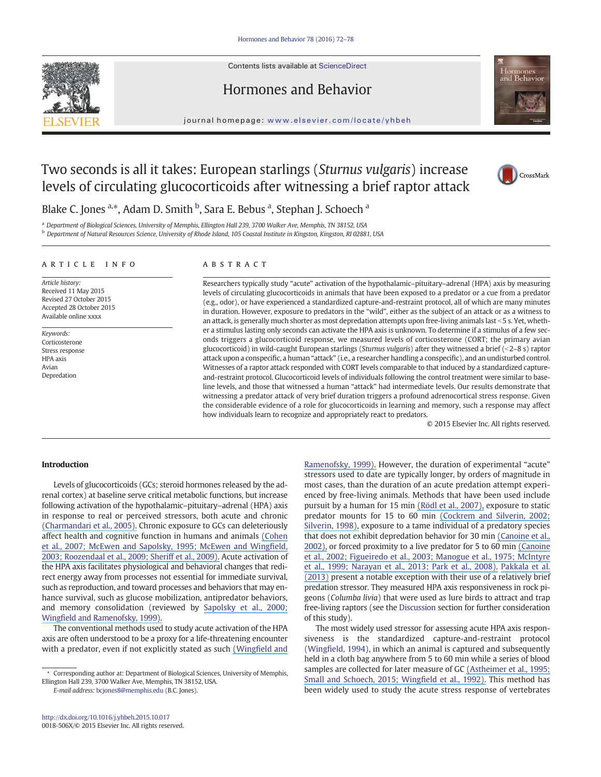

### Hormones and Behavior



journal homepage: www.elsevier.com/locate/yhbeh

### Two seconds is all it takes: European starlings (Sturnus vulgaris) increase levels of circulating glucocorticoids after witnessing a brief raptor attack



Blake C. Jones <sup>a,\*</sup>, Adam D. Smith <sup>b</sup>, Sara E. Bebus <sup>a</sup>, Stephan J. Schoech <sup>a</sup>

<sup>a</sup> Department of Biological Sciences, University of Memphis, Ellington Hall 239, 3700 Walker Ave, Memphis, TN 38152, USA

b Department of Natural Resources Science, University of Rhode Island, 105 Coastal Institute in Kingston, Kingston, RI 02881, USA

#### article info abstract

Article history: Received 11 May 2015 Revised 27 October 2015 Accepted 28 October 2015 Available online xxxx

Keywords: Corticosterone Stress response HPA axis Avian Depredation

Researchers typically study "acute" activation of the hypothalamic–pituitary–adrenal (HPA) axis by measuring levels of circulating glucocorticoids in animals that have been exposed to a predator or a cue from a predator (e.g., odor), or have experienced a standardized capture-and-restraint protocol, all of which are many minutes in duration. However, exposure to predators in the "wild", either as the subject of an attack or as a witness to an attack, is generally much shorter as most depredation attempts upon free-living animals last <5 s. Yet, whether a stimulus lasting only seconds can activate the HPA axis is unknown. To determine if a stimulus of a few seconds triggers a glucocorticoid response, we measured levels of corticosterone (CORT; the primary avian glucocorticoid) in wild-caught European starlings (Sturnus vulgaris) after they witnessed a brief (<2-8 s) raptor attack upon a conspecific, a human "attack" (i.e., a researcher handling a conspecific), and an undisturbed control. Witnesses of a raptor attack responded with CORT levels comparable to that induced by a standardized captureand-restraint protocol. Glucocorticoid levels of individuals following the control treatment were similar to baseline levels, and those that witnessed a human "attack" had intermediate levels. Our results demonstrate that witnessing a predator attack of very brief duration triggers a profound adrenocortical stress response. Given the considerable evidence of a role for glucocorticoids in learning and memory, such a response may affect how individuals learn to recognize and appropriately react to predators.

© 2015 Elsevier Inc. All rights reserved.

#### Introduction

Levels of glucocorticoids (GCs; steroid hormones released by the adrenal cortex) at baseline serve critical metabolic functions, but increase following activation of the hypothalamic–pituitary–adrenal (HPA) axis in response to real or perceived stressors, both acute and chronic [\(Charmandari et al., 2005\).](https://www.researchgate.net/publication/8023121_Endocrinology_of_the_stress_response?el=1_x_8&enrichId=rgreq-ee60b45a-844c-4099-9fcc-40042fbb68ac&enrichSource=Y292ZXJQYWdlOzI4MzQ1NjQ1OTtBUzozMDMxNDk5ODA1NTMyMTZAMTQ0OTI4Nzk5NTgwNw==) Chronic exposure to GCs can deleteriously affect health and cognitive function in humans and animals [\(Cohen](https://www.researchgate.net/publication/5918645_Psychological_stress_and_disease_JAMA_298_1685-1687?el=1_x_8&enrichId=rgreq-ee60b45a-844c-4099-9fcc-40042fbb68ac&enrichSource=Y292ZXJQYWdlOzI4MzQ1NjQ1OTtBUzozMDMxNDk5ODA1NTMyMTZAMTQ0OTI4Nzk5NTgwNw==) [et al., 2007; McEwen and Sapolsky, 1995; McEwen and Wing](https://www.researchgate.net/publication/5918645_Psychological_stress_and_disease_JAMA_298_1685-1687?el=1_x_8&enrichId=rgreq-ee60b45a-844c-4099-9fcc-40042fbb68ac&enrichSource=Y292ZXJQYWdlOzI4MzQ1NjQ1OTtBUzozMDMxNDk5ODA1NTMyMTZAMTQ0OTI4Nzk5NTgwNw==)field, [2003; Roozendaal et al., 2009; Sheriff et al., 2009\).](https://www.researchgate.net/publication/5918645_Psychological_stress_and_disease_JAMA_298_1685-1687?el=1_x_8&enrichId=rgreq-ee60b45a-844c-4099-9fcc-40042fbb68ac&enrichSource=Y292ZXJQYWdlOzI4MzQ1NjQ1OTtBUzozMDMxNDk5ODA1NTMyMTZAMTQ0OTI4Nzk5NTgwNw==) Acute activation of the HPA axis facilitates physiological and behavioral changes that redirect energy away from processes not essential for immediate survival, such as reproduction, and toward processes and behaviors that may enhance survival, such as glucose mobilization, antipredator behaviors, and memory consolidation (reviewed by [Sapolsky et al., 2000;](https://www.researchgate.net/publication/12618227_How_Do_Glucocorticoids_Influence_Stress_Responses_Integrating_Permissive_Suppressive_Stimulatory_and_Preparative_Actions?el=1_x_8&enrichId=rgreq-ee60b45a-844c-4099-9fcc-40042fbb68ac&enrichSource=Y292ZXJQYWdlOzI4MzQ1NjQ1OTtBUzozMDMxNDk5ODA1NTMyMTZAMTQ0OTI4Nzk5NTgwNw==) Wingfi[eld and Ramenofsky, 1999\).](https://www.researchgate.net/publication/12618227_How_Do_Glucocorticoids_Influence_Stress_Responses_Integrating_Permissive_Suppressive_Stimulatory_and_Preparative_Actions?el=1_x_8&enrichId=rgreq-ee60b45a-844c-4099-9fcc-40042fbb68ac&enrichSource=Y292ZXJQYWdlOzI4MzQ1NjQ1OTtBUzozMDMxNDk5ODA1NTMyMTZAMTQ0OTI4Nzk5NTgwNw==)

The conventional methods used to study acute activation of the HPA axis are often understood to be a proxy for a life-threatening encounter with a predator, even if not explicitly stated as such (Wingfi[eld and](https://www.researchgate.net/publication/246385156_Hormones_and_the_behavioral_ecology_of_stress?el=1_x_8&enrichId=rgreq-ee60b45a-844c-4099-9fcc-40042fbb68ac&enrichSource=Y292ZXJQYWdlOzI4MzQ1NjQ1OTtBUzozMDMxNDk5ODA1NTMyMTZAMTQ0OTI4Nzk5NTgwNw==)

E-mail address: bcjones8@memphis.edu (B.C. Jones).

[Ramenofsky, 1999\).](https://www.researchgate.net/publication/246385156_Hormones_and_the_behavioral_ecology_of_stress?el=1_x_8&enrichId=rgreq-ee60b45a-844c-4099-9fcc-40042fbb68ac&enrichSource=Y292ZXJQYWdlOzI4MzQ1NjQ1OTtBUzozMDMxNDk5ODA1NTMyMTZAMTQ0OTI4Nzk5NTgwNw==) However, the duration of experimental "acute" stressors used to date are typically longer, by orders of magnitude in most cases, than the duration of an acute predation attempt experienced by free-living animals. Methods that have been used include pursuit by a human for 15 min [\(Rödl et al., 2007\),](https://www.researchgate.net/publication/6352977_Tameness_and_stress_physiology_in_a_predator-naive_island_species_confronted_with_novel_predation_threat?el=1_x_8&enrichId=rgreq-ee60b45a-844c-4099-9fcc-40042fbb68ac&enrichSource=Y292ZXJQYWdlOzI4MzQ1NjQ1OTtBUzozMDMxNDk5ODA1NTMyMTZAMTQ0OTI4Nzk5NTgwNw==) exposure to static predator mounts for 15 to 60 min [\(Cockrem and Silverin, 2002;](https://www.researchgate.net/publication/13642641_Behavioural_and_hormonal_responses_of_Pied_Flycatchers_to_environmental_stressors?el=1_x_8&enrichId=rgreq-ee60b45a-844c-4099-9fcc-40042fbb68ac&enrichSource=Y292ZXJQYWdlOzI4MzQ1NjQ1OTtBUzozMDMxNDk5ODA1NTMyMTZAMTQ0OTI4Nzk5NTgwNw==) [Silverin, 1998\),](https://www.researchgate.net/publication/13642641_Behavioural_and_hormonal_responses_of_Pied_Flycatchers_to_environmental_stressors?el=1_x_8&enrichId=rgreq-ee60b45a-844c-4099-9fcc-40042fbb68ac&enrichSource=Y292ZXJQYWdlOzI4MzQ1NjQ1OTtBUzozMDMxNDk5ODA1NTMyMTZAMTQ0OTI4Nzk5NTgwNw==) exposure to a tame individual of a predatory species that does not exhibit depredation behavior for 30 min [\(Canoine et al.,](https://www.researchgate.net/publication/248023742_The_stress_response_of_European_stonechats_depends_on_the_type_of_stressor?el=1_x_8&enrichId=rgreq-ee60b45a-844c-4099-9fcc-40042fbb68ac&enrichSource=Y292ZXJQYWdlOzI4MzQ1NjQ1OTtBUzozMDMxNDk5ODA1NTMyMTZAMTQ0OTI4Nzk5NTgwNw==) [2002\),](https://www.researchgate.net/publication/248023742_The_stress_response_of_European_stonechats_depends_on_the_type_of_stressor?el=1_x_8&enrichId=rgreq-ee60b45a-844c-4099-9fcc-40042fbb68ac&enrichSource=Y292ZXJQYWdlOzI4MzQ1NjQ1OTtBUzozMDMxNDk5ODA1NTMyMTZAMTQ0OTI4Nzk5NTgwNw==) or forced proximity to a live predator for 5 to 60 min [\(Canoine](https://www.researchgate.net/publication/10579018_Stress_Integration_after_Acute_and_Chronic_Predator_Stress_Differential_Activation_of_Central_Stress_Circuitry_and_Sensitization_of_the_Hypothalamo-Pituitary-Adrenocortical_Axis?el=1_x_8&enrichId=rgreq-ee60b45a-844c-4099-9fcc-40042fbb68ac&enrichSource=Y292ZXJQYWdlOzI4MzQ1NjQ1OTtBUzozMDMxNDk5ODA1NTMyMTZAMTQ0OTI4Nzk5NTgwNw==) [et al., 2002; Figueiredo et al., 2003; Manogue et al., 1975; McIntyre](https://www.researchgate.net/publication/10579018_Stress_Integration_after_Acute_and_Chronic_Predator_Stress_Differential_Activation_of_Central_Stress_Circuitry_and_Sensitization_of_the_Hypothalamo-Pituitary-Adrenocortical_Axis?el=1_x_8&enrichId=rgreq-ee60b45a-844c-4099-9fcc-40042fbb68ac&enrichSource=Y292ZXJQYWdlOzI4MzQ1NjQ1OTtBUzozMDMxNDk5ODA1NTMyMTZAMTQ0OTI4Nzk5NTgwNw==) [et al., 1999; Narayan et al., 2013; Park et al., 2008\).](https://www.researchgate.net/publication/10579018_Stress_Integration_after_Acute_and_Chronic_Predator_Stress_Differential_Activation_of_Central_Stress_Circuitry_and_Sensitization_of_the_Hypothalamo-Pituitary-Adrenocortical_Axis?el=1_x_8&enrichId=rgreq-ee60b45a-844c-4099-9fcc-40042fbb68ac&enrichSource=Y292ZXJQYWdlOzI4MzQ1NjQ1OTtBUzozMDMxNDk5ODA1NTMyMTZAMTQ0OTI4Nzk5NTgwNw==) [Pakkala et al.](https://www.researchgate.net/publication/235716235_An_Experimental_Test_of_the_Capture-Restraint_Protocol_for_Estimating_the_Acute_Stress_Response?el=1_x_8&enrichId=rgreq-ee60b45a-844c-4099-9fcc-40042fbb68ac&enrichSource=Y292ZXJQYWdlOzI4MzQ1NjQ1OTtBUzozMDMxNDk5ODA1NTMyMTZAMTQ0OTI4Nzk5NTgwNw==) [\(2013\)](https://www.researchgate.net/publication/235716235_An_Experimental_Test_of_the_Capture-Restraint_Protocol_for_Estimating_the_Acute_Stress_Response?el=1_x_8&enrichId=rgreq-ee60b45a-844c-4099-9fcc-40042fbb68ac&enrichSource=Y292ZXJQYWdlOzI4MzQ1NjQ1OTtBUzozMDMxNDk5ODA1NTMyMTZAMTQ0OTI4Nzk5NTgwNw==) present a notable exception with their use of a relatively brief predation stressor. They measured HPA axis responsiveness in rock pigeons (Columba livia) that were used as lure birds to attract and trap free-living raptors (see the Discussion section for further consideration of this study).

The most widely used stressor for assessing acute HPA axis responsiveness is the standardized capture-and-restraint protocol (Wingfield, 1994), in which an animal is captured and subsequently held in a cloth bag anywhere from 5 to 60 min while a series of blood samples are collected for later measure of GC [\(Astheimer et al., 1995;](https://www.researchgate.net/publication/267931570_Sex_differences_in_the_long-term_repeatability_of_the_acute_stress_response_in_long-lived_free-living_Florida_scrub-jays_Aphelocoma_coerulescens?el=1_x_8&enrichId=rgreq-ee60b45a-844c-4099-9fcc-40042fbb68ac&enrichSource=Y292ZXJQYWdlOzI4MzQ1NjQ1OTtBUzozMDMxNDk5ODA1NTMyMTZAMTQ0OTI4Nzk5NTgwNw==) [Small and Schoech, 2015; Wing](https://www.researchgate.net/publication/267931570_Sex_differences_in_the_long-term_repeatability_of_the_acute_stress_response_in_long-lived_free-living_Florida_scrub-jays_Aphelocoma_coerulescens?el=1_x_8&enrichId=rgreq-ee60b45a-844c-4099-9fcc-40042fbb68ac&enrichSource=Y292ZXJQYWdlOzI4MzQ1NjQ1OTtBUzozMDMxNDk5ODA1NTMyMTZAMTQ0OTI4Nzk5NTgwNw==)field et al., 1992). This method has been widely used to study the acute stress response of vertebrates

<sup>⁎</sup> Corresponding author at: Department of Biological Sciences, University of Memphis, Ellington Hall 239, 3700 Walker Ave, Memphis, TN 38152, USA.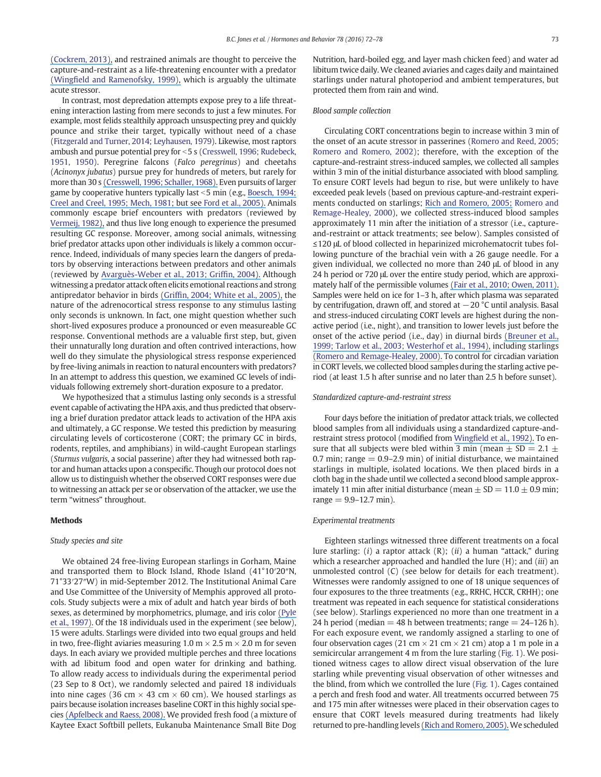[\(Cockrem, 2013\),](https://www.researchgate.net/publication/234088245_Individual_variation_in_glucocorticoid_stress_responses_in_animals?el=1_x_8&enrichId=rgreq-ee60b45a-844c-4099-9fcc-40042fbb68ac&enrichSource=Y292ZXJQYWdlOzI4MzQ1NjQ1OTtBUzozMDMxNDk5ODA1NTMyMTZAMTQ0OTI4Nzk5NTgwNw==) and restrained animals are thought to perceive the capture-and-restraint as a life-threatening encounter with a predator (Wingfi[eld and Ramenofsky, 1999\),](https://www.researchgate.net/publication/246385156_Hormones_and_the_behavioral_ecology_of_stress?el=1_x_8&enrichId=rgreq-ee60b45a-844c-4099-9fcc-40042fbb68ac&enrichSource=Y292ZXJQYWdlOzI4MzQ1NjQ1OTtBUzozMDMxNDk5ODA1NTMyMTZAMTQ0OTI4Nzk5NTgwNw==) which is arguably the ultimate acute stressor.

In contrast, most depredation attempts expose prey to a life threatening interaction lasting from mere seconds to just a few minutes. For example, most felids stealthily approach unsuspecting prey and quickly pounce and strike their target, typically without need of a chase (Fitzgerald and Turner, 2014; Leyhausen, 1979). Likewise, most raptors ambush and pursue potential prey for  $<$  5 s (Cresswell, 1996; Rudebeck, 1951, 1950). Peregrine falcons (Falco peregrinus) and cheetahs (Acinonyx jubatus) pursue prey for hundreds of meters, but rarely for more than 30 s [\(Cresswell, 1996; Schaller, 1968\).](https://www.researchgate.net/publication/229545606_Hunting_behavior_of_the_cheetah_in_the_Serengeti_National_Park_Tanzania?el=1_x_8&enrichId=rgreq-ee60b45a-844c-4099-9fcc-40042fbb68ac&enrichSource=Y292ZXJQYWdlOzI4MzQ1NjQ1OTtBUzozMDMxNDk5ODA1NTMyMTZAMTQ0OTI4Nzk5NTgwNw==) Even pursuits of larger game by cooperative hunters typically last  $<$  5 min (e.g., [Boesch, 1994;](https://www.researchgate.net/publication/245797174_Cooperative_hunting_in_wild_chimpanzees?el=1_x_8&enrichId=rgreq-ee60b45a-844c-4099-9fcc-40042fbb68ac&enrichSource=Y292ZXJQYWdlOzI4MzQ1NjQ1OTtBUzozMDMxNDk5ODA1NTMyMTZAMTQ0OTI4Nzk5NTgwNw==) [Creel and Creel, 1995; Mech, 1981; but see](https://www.researchgate.net/publication/245797174_Cooperative_hunting_in_wild_chimpanzees?el=1_x_8&enrichId=rgreq-ee60b45a-844c-4099-9fcc-40042fbb68ac&enrichSource=Y292ZXJQYWdlOzI4MzQ1NjQ1OTtBUzozMDMxNDk5ODA1NTMyMTZAMTQ0OTI4Nzk5NTgwNw==) Ford et al., 2005). Animals commonly escape brief encounters with predators (reviewed by [Vermeij, 1982\),](https://www.researchgate.net/publication/248235962_Unsuccessful_Predation_and_Evolution?el=1_x_8&enrichId=rgreq-ee60b45a-844c-4099-9fcc-40042fbb68ac&enrichSource=Y292ZXJQYWdlOzI4MzQ1NjQ1OTtBUzozMDMxNDk5ODA1NTMyMTZAMTQ0OTI4Nzk5NTgwNw==) and thus live long enough to experience the presumed resulting GC response. Moreover, among social animals, witnessing brief predator attacks upon other individuals is likely a common occurrence. Indeed, individuals of many species learn the dangers of predators by observing interactions between predators and other animals (reviewed by [Avarguès-Weber et al., 2013; Grif](https://www.researchgate.net/publication/8545579_Social_learning_about_predators_A_review_and_prospectus_Learn_Behav?el=1_x_8&enrichId=rgreq-ee60b45a-844c-4099-9fcc-40042fbb68ac&enrichSource=Y292ZXJQYWdlOzI4MzQ1NjQ1OTtBUzozMDMxNDk5ODA1NTMyMTZAMTQ0OTI4Nzk5NTgwNw==)fin, 2004). Although witnessing a predator attack often elicits emotional reactions and strong antipredator behavior in birds (Griffi[n, 2004; White et al., 2005\),](https://www.researchgate.net/publication/228354197_Survival_of_captive-reared_Puerto_Rican_Parrots_released_in_the_Caribbean_National_Forest?el=1_x_8&enrichId=rgreq-ee60b45a-844c-4099-9fcc-40042fbb68ac&enrichSource=Y292ZXJQYWdlOzI4MzQ1NjQ1OTtBUzozMDMxNDk5ODA1NTMyMTZAMTQ0OTI4Nzk5NTgwNw==) the nature of the adrenocortical stress response to any stimulus lasting only seconds is unknown. In fact, one might question whether such short-lived exposures produce a pronounced or even measureable GC response. Conventional methods are a valuable first step, but, given their unnaturally long duration and often contrived interactions, how well do they simulate the physiological stress response experienced by free-living animals in reaction to natural encounters with predators? In an attempt to address this question, we examined GC levels of individuals following extremely short-duration exposure to a predator.

We hypothesized that a stimulus lasting only seconds is a stressful event capable of activating the HPA axis, and thus predicted that observing a brief duration predator attack leads to activation of the HPA axis and ultimately, a GC response. We tested this prediction by measuring circulating levels of corticosterone (CORT; the primary GC in birds, rodents, reptiles, and amphibians) in wild-caught European starlings (Sturnus vulgaris, a social passerine) after they had witnessed both raptor and human attacks upon a conspecific. Though our protocol does not allow us to distinguish whether the observed CORT responses were due to witnessing an attack per se or observation of the attacker, we use the term "witness" throughout.

#### Methods

#### Study species and site

We obtained 24 free-living European starlings in Gorham, Maine and transported them to Block Island, Rhode Island (41°10′20″N, 71°33′27″W) in mid-September 2012. The Institutional Animal Care and Use Committee of the University of Memphis approved all protocols. Study subjects were a mix of adult and hatch year birds of both sexes, as determined by morphometrics, plumage, and iris color [\(Pyle](https://www.researchgate.net/publication/237916420_Identification_Guide_to_North_American_Birds?el=1_x_8&enrichId=rgreq-ee60b45a-844c-4099-9fcc-40042fbb68ac&enrichSource=Y292ZXJQYWdlOzI4MzQ1NjQ1OTtBUzozMDMxNDk5ODA1NTMyMTZAMTQ0OTI4Nzk5NTgwNw==) [et al., 1997\).](https://www.researchgate.net/publication/237916420_Identification_Guide_to_North_American_Birds?el=1_x_8&enrichId=rgreq-ee60b45a-844c-4099-9fcc-40042fbb68ac&enrichSource=Y292ZXJQYWdlOzI4MzQ1NjQ1OTtBUzozMDMxNDk5ODA1NTMyMTZAMTQ0OTI4Nzk5NTgwNw==) Of the 18 individuals used in the experiment (see below), 15 were adults. Starlings were divided into two equal groups and held in two, free-flight aviaries measuring 1.0 m  $\times$  2.5 m  $\times$  2.0 m for seven days. In each aviary we provided multiple perches and three locations with ad libitum food and open water for drinking and bathing. To allow ready access to individuals during the experimental period (23 Sep to 8 Oct), we randomly selected and paired 18 individuals into nine cages (36 cm  $\times$  43 cm  $\times$  60 cm). We housed starlings as pairs because isolation increases baseline CORT in this highly social species [\(Apfelbeck and Raess, 2008\).](https://www.researchgate.net/publication/5337165_Behavioural_and_hormonal_effects_of_social_isolation_and_neophobia_in_a_gregarious_bird_species_the_European_starling_Sturnus_vulgaris?el=1_x_8&enrichId=rgreq-ee60b45a-844c-4099-9fcc-40042fbb68ac&enrichSource=Y292ZXJQYWdlOzI4MzQ1NjQ1OTtBUzozMDMxNDk5ODA1NTMyMTZAMTQ0OTI4Nzk5NTgwNw==) We provided fresh food (a mixture of Kaytee Exact Softbill pellets, Eukanuba Maintenance Small Bite Dog Nutrition, hard-boiled egg, and layer mash chicken feed) and water ad libitum twice daily. We cleaned aviaries and cages daily and maintained starlings under natural photoperiod and ambient temperatures, but protected them from rain and wind.

#### Blood sample collection

Circulating CORT concentrations begin to increase within 3 min of the onset of an acute stressor in passerines (Romero and Reed, 2005; Romero and Romero, 2002); therefore, with the exception of the capture-and-restraint stress-induced samples, we collected all samples within 3 min of the initial disturbance associated with blood sampling. To ensure CORT levels had begun to rise, but were unlikely to have exceeded peak levels (based on previous capture-and-restraint experiments conducted on starlings; [Rich and Romero, 2005;](https://www.researchgate.net/publication/8067889_Collecting_baseline_corticosterone_samples_in_the_field_Is_under_3_min_good_enough?el=1_x_8&enrichId=rgreq-ee60b45a-844c-4099-9fcc-40042fbb68ac&enrichSource=Y292ZXJQYWdlOzI4MzQ1NjQ1OTtBUzozMDMxNDk5ODA1NTMyMTZAMTQ0OTI4Nzk5NTgwNw==) Romero and Remage-Healey, 2000), we collected stress-induced blood samples approximately 11 min after the initiation of a stressor (i.e., captureand-restraint or attack treatments; see below). Samples consisted of ≤120 μL of blood collected in heparinized microhematocrit tubes following puncture of the brachial vein with a 26 gauge needle. For a given individual, we collected no more than 240 μL of blood in any 24 h period or 720 μL over the entire study period, which are approximately half of the permissible volumes [\(Fair et al., 2010; Owen, 2011\).](https://www.researchgate.net/publication/261533766_Collecting_processing_and_storing_avian_blood_A_review?el=1_x_8&enrichId=rgreq-ee60b45a-844c-4099-9fcc-40042fbb68ac&enrichSource=Y292ZXJQYWdlOzI4MzQ1NjQ1OTtBUzozMDMxNDk5ODA1NTMyMTZAMTQ0OTI4Nzk5NTgwNw==) Samples were held on ice for 1–3 h, after which plasma was separated by centrifugation, drawn off, and stored at −20 °C until analysis. Basal and stress-induced circulating CORT levels are highest during the nonactive period (i.e., night), and transition to lower levels just before the onset of the active period (i.e., day) in diurnal birds [\(Breuner et al.,](https://www.researchgate.net/publication/15365916_Diurnal_Rhythms_of_Plasma_Corticosterone_Concentrations_in_Racing_Pigeons_Columba_livia_domestica_Exposed_to_Different_Light_Regimens_and_the_Influence_of_Frequent_Blood_Sampling?el=1_x_8&enrichId=rgreq-ee60b45a-844c-4099-9fcc-40042fbb68ac&enrichSource=Y292ZXJQYWdlOzI4MzQ1NjQ1OTtBUzozMDMxNDk5ODA1NTMyMTZAMTQ0OTI4Nzk5NTgwNw==) [1999; Tarlow et al., 2003; Westerhof et al., 1994\),](https://www.researchgate.net/publication/15365916_Diurnal_Rhythms_of_Plasma_Corticosterone_Concentrations_in_Racing_Pigeons_Columba_livia_domestica_Exposed_to_Different_Light_Regimens_and_the_Influence_of_Frequent_Blood_Sampling?el=1_x_8&enrichId=rgreq-ee60b45a-844c-4099-9fcc-40042fbb68ac&enrichSource=Y292ZXJQYWdlOzI4MzQ1NjQ1OTtBUzozMDMxNDk5ODA1NTMyMTZAMTQ0OTI4Nzk5NTgwNw==) including starlings [\(Romero and Remage-Healey, 2000\).](https://www.researchgate.net/publication/12435664_Daily_and_Seasonal_Variation_in_Response_to_Stress_in_Captive_Starlings_Sturnus_vulgaris_Corticosterone?el=1_x_8&enrichId=rgreq-ee60b45a-844c-4099-9fcc-40042fbb68ac&enrichSource=Y292ZXJQYWdlOzI4MzQ1NjQ1OTtBUzozMDMxNDk5ODA1NTMyMTZAMTQ0OTI4Nzk5NTgwNw==) To control for circadian variation in CORT levels, we collected blood samples during the starling active period (at least 1.5 h after sunrise and no later than 2.5 h before sunset).

#### Standardized capture-and-restraint stress

Four days before the initiation of predator attack trials, we collected blood samples from all individuals using a standardized capture-andrestraint stress protocol (modified from Wingfi[eld et al., 1992\).](https://www.researchgate.net/publication/21696158_Seasonal_changes_in_the_adrenocortial_response_to_stress_in_birds_of_the_Sonoran_Desert_Exp?el=1_x_8&enrichId=rgreq-ee60b45a-844c-4099-9fcc-40042fbb68ac&enrichSource=Y292ZXJQYWdlOzI4MzQ1NjQ1OTtBUzozMDMxNDk5ODA1NTMyMTZAMTQ0OTI4Nzk5NTgwNw==) To ensure that all subjects were bled within 3 min (mean  $\pm$  SD = 2.1  $\pm$ 0.7 min; range  $= 0.9$ -2.9 min) of initial disturbance, we maintained starlings in multiple, isolated locations. We then placed birds in a cloth bag in the shade until we collected a second blood sample approximately 11 min after initial disturbance (mean  $\pm$  SD = 11.0  $\pm$  0.9 min;  $range = 9.9 - 12.7 \text{ min}$ .

#### Experimental treatments

Eighteen starlings witnessed three different treatments on a focal lure starling: (i) a raptor attack (R); (ii) a human "attack," during which a researcher approached and handled the lure  $(H)$ ; and  $(iii)$  an unmolested control (C) (see below for details for each treatment). Witnesses were randomly assigned to one of 18 unique sequences of four exposures to the three treatments (e.g., RRHC, HCCR, CRHH); one treatment was repeated in each sequence for statistical considerations (see below). Starlings experienced no more than one treatment in a 24 h period (median  $=$  48 h between treatments; range  $=$  24–126 h). For each exposure event, we randomly assigned a starling to one of four observation cages (21 cm  $\times$  21 cm  $\times$  21 cm) atop a 1 m pole in a semicircular arrangement 4 m from the lure starling (Fig. 1). We positioned witness cages to allow direct visual observation of the lure starling while preventing visual observation of other witnesses and the blind, from which we controlled the lure (Fig. 1). Cages contained a perch and fresh food and water. All treatments occurred between 75 and 175 min after witnesses were placed in their observation cages to ensure that CORT levels measured during treatments had likely returned to pre-handling levels [\(Rich and Romero, 2005\).](https://www.researchgate.net/publication/8067889_Collecting_baseline_corticosterone_samples_in_the_field_Is_under_3_min_good_enough?el=1_x_8&enrichId=rgreq-ee60b45a-844c-4099-9fcc-40042fbb68ac&enrichSource=Y292ZXJQYWdlOzI4MzQ1NjQ1OTtBUzozMDMxNDk5ODA1NTMyMTZAMTQ0OTI4Nzk5NTgwNw==) We scheduled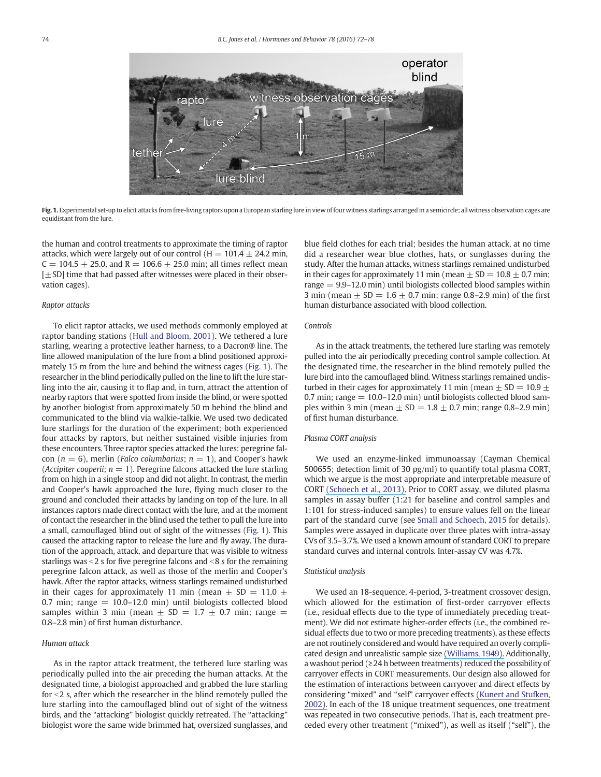

Fig. 1. Experimental set-up to elicit attacks from free-living raptors upon a European starling lure in view of four witness starlings arranged in a semicircle; all witness observation cages are equidistant from the lure.

the human and control treatments to approximate the timing of raptor attacks, which were largely out of our control ( $H = 101.4 \pm 24.2$  min,  $C = 104.5 \pm 25.0$ , and R = 106.6  $\pm$  25.0 min; all times reflect mean  $[\pm SD]$  time that had passed after witnesses were placed in their observation cages).

#### Raptor attacks

To elicit raptor attacks, we used methods commonly employed at raptor banding stations (Hull and Bloom, 2001). We tethered a lure starling, wearing a protective leather harness, to a Dacron® line. The line allowed manipulation of the lure from a blind positioned approximately 15 m from the lure and behind the witness cages (Fig. 1). The researcher in the blind periodically pulled on the line to lift the lure starling into the air, causing it to flap and, in turn, attract the attention of nearby raptors that were spotted from inside the blind, or were spotted by another biologist from approximately 50 m behind the blind and communicated to the blind via walkie-talkie. We used two dedicated lure starlings for the duration of the experiment; both experienced four attacks by raptors, but neither sustained visible injuries from these encounters. Three raptor species attacked the lures: peregrine falcon ( $n = 6$ ), merlin (*Falco columbarius*;  $n = 1$ ), and Cooper's hawk (Accipiter cooperii;  $n = 1$ ). Peregrine falcons attacked the lure starling from on high in a single stoop and did not alight. In contrast, the merlin and Cooper's hawk approached the lure, flying much closer to the ground and concluded their attacks by landing on top of the lure. In all instances raptors made direct contact with the lure, and at the moment of contact the researcher in the blind used the tether to pull the lure into a small, camouflaged blind out of sight of the witnesses (Fig. 1). This caused the attacking raptor to release the lure and fly away. The duration of the approach, attack, and departure that was visible to witness starlings was  $<$  2 s for five peregrine falcons and  $<$  8 s for the remaining peregrine falcon attack, as well as those of the merlin and Cooper's hawk. After the raptor attacks, witness starlings remained undisturbed in their cages for approximately 11 min (mean  $\pm$  SD = 11.0  $\pm$ 0.7 min; range  $= 10.0 - 12.0$  min) until biologists collected blood samples within 3 min (mean  $\pm$  SD = 1.7  $\pm$  0.7 min; range = 0.8–2.8 min) of first human disturbance.

#### Human attack

As in the raptor attack treatment, the tethered lure starling was periodically pulled into the air preceding the human attacks. At the designated time, a biologist approached and grabbed the lure starling for  $<$ 2 s, after which the researcher in the blind remotely pulled the lure starling into the camouflaged blind out of sight of the witness birds, and the "attacking" biologist quickly retreated. The "attacking" biologist wore the same wide brimmed hat, oversized sunglasses, and blue field clothes for each trial; besides the human attack, at no time did a researcher wear blue clothes, hats, or sunglasses during the study. After the human attacks, witness starlings remained undisturbed in their cages for approximately 11 min (mean  $\pm$  SD = 10.8  $\pm$  0.7 min; range = 9.9–12.0 min) until biologists collected blood samples within 3 min (mean  $\pm$  SD = 1.6  $\pm$  0.7 min; range 0.8–2.9 min) of the first human disturbance associated with blood collection.

#### Controls

As in the attack treatments, the tethered lure starling was remotely pulled into the air periodically preceding control sample collection. At the designated time, the researcher in the blind remotely pulled the lure bird into the camouflaged blind. Witness starlings remained undisturbed in their cages for approximately 11 min (mean  $\pm$  SD = 10.9  $\pm$ 0.7 min; range  $= 10.0 - 12.0$  min) until biologists collected blood samples within 3 min (mean  $\pm$  SD = 1.8  $\pm$  0.7 min; range 0.8–2.9 min) of first human disturbance.

#### Plasma CORT analysis

We used an enzyme-linked immunoassay (Cayman Chemical 500655; detection limit of 30 pg/ml) to quantify total plasma CORT, which we argue is the most appropriate and interpretable measure of CORT [\(Schoech et al., 2013\).](https://www.researchgate.net/publication/255720324_Constraintsconcerns_and_considerations_about_the_necessity_of_estimating_free_glucocorticoid_concentrations_for_field_endocrine_studies?el=1_x_8&enrichId=rgreq-ee60b45a-844c-4099-9fcc-40042fbb68ac&enrichSource=Y292ZXJQYWdlOzI4MzQ1NjQ1OTtBUzozMDMxNDk5ODA1NTMyMTZAMTQ0OTI4Nzk5NTgwNw==) Prior to CORT assay, we diluted plasma samples in assay buffer (1:21 for baseline and control samples and 1:101 for stress-induced samples) to ensure values fell on the linear part of the standard curve (see Small and Schoech, 2015 for details). Samples were assayed in duplicate over three plates with intra-assay CVs of 3.5–3.7%. We used a known amount of standard CORT to prepare standard curves and internal controls. Inter-assay CV was 4.7%.

#### Statistical analysis

We used an 18-sequence, 4-period, 3-treatment crossover design, which allowed for the estimation of first-order carryover effects (i.e., residual effects due to the type of immediately preceding treatment). We did not estimate higher-order effects (i.e., the combined residual effects due to two or more preceding treatments), as these effects are not routinely considered and would have required an overly complicated design and unrealistic sample size [\(Williams, 1949\).](https://www.researchgate.net/publication/252695332_Experimental_Designs_Balanced_for_the_Estimation_of_Residual_Effects_of_Treatments?el=1_x_8&enrichId=rgreq-ee60b45a-844c-4099-9fcc-40042fbb68ac&enrichSource=Y292ZXJQYWdlOzI4MzQ1NjQ1OTtBUzozMDMxNDk5ODA1NTMyMTZAMTQ0OTI4Nzk5NTgwNw==) Additionally, a washout period (≥24 h between treatments) reduced the possibility of carryover effects in CORT measurements. Our design also allowed for the estimation of interactions between carryover and direct effects by considering "mixed" and "self" carryover effects [\(Kunert and Stufken,](https://www.researchgate.net/publication/4746061_Optimal_Crossover_Designs_in_a_Model_With_Self_and_Mixed_Carryover_Effects?el=1_x_8&enrichId=rgreq-ee60b45a-844c-4099-9fcc-40042fbb68ac&enrichSource=Y292ZXJQYWdlOzI4MzQ1NjQ1OTtBUzozMDMxNDk5ODA1NTMyMTZAMTQ0OTI4Nzk5NTgwNw==) [2002\).](https://www.researchgate.net/publication/4746061_Optimal_Crossover_Designs_in_a_Model_With_Self_and_Mixed_Carryover_Effects?el=1_x_8&enrichId=rgreq-ee60b45a-844c-4099-9fcc-40042fbb68ac&enrichSource=Y292ZXJQYWdlOzI4MzQ1NjQ1OTtBUzozMDMxNDk5ODA1NTMyMTZAMTQ0OTI4Nzk5NTgwNw==) In each of the 18 unique treatment sequences, one treatment was repeated in two consecutive periods. That is, each treatment preceded every other treatment ("mixed"), as well as itself ("self"), the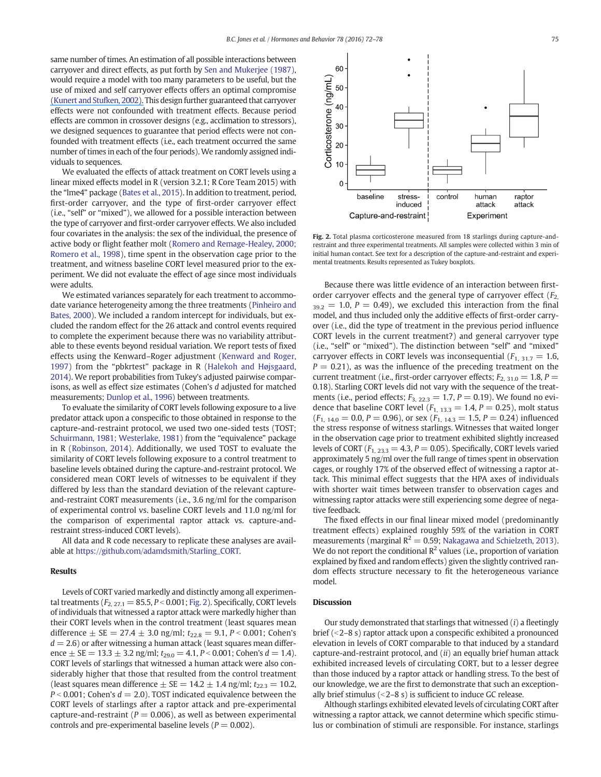same number of times. An estimation of all possible interactions between carryover and direct effects, as put forth by Sen and Mukerjee (1987), would require a model with too many parameters to be useful, but the use of mixed and self carryover effects offers an optimal compromise [\(Kunert and Stufken, 2002\).](https://www.researchgate.net/publication/4746061_Optimal_Crossover_Designs_in_a_Model_With_Self_and_Mixed_Carryover_Effects?el=1_x_8&enrichId=rgreq-ee60b45a-844c-4099-9fcc-40042fbb68ac&enrichSource=Y292ZXJQYWdlOzI4MzQ1NjQ1OTtBUzozMDMxNDk5ODA1NTMyMTZAMTQ0OTI4Nzk5NTgwNw==) This design further guaranteed that carryover effects were not confounded with treatment effects. Because period effects are common in crossover designs (e.g., acclimation to stressors), we designed sequences to guarantee that period effects were not confounded with treatment effects (i.e., each treatment occurred the same number of times in each of the four periods). We randomly assigned individuals to sequences.

We evaluated the effects of attack treatment on CORT levels using a linear mixed effects model in R (version 3.2.1; R Core Team 2015) with the "lme4" package (Bates et al., 2015). In addition to treatment, period, first-order carryover, and the type of first-order carryover effect (i.e., "self" or "mixed"), we allowed for a possible interaction between the type of carryover and first-order carryover effects. We also included four covariates in the analysis: the sex of the individual, the presence of active body or flight feather molt (Romero and Remage-Healey, 2000; Romero et al., 1998), time spent in the observation cage prior to the treatment, and witness baseline CORT level measured prior to the experiment. We did not evaluate the effect of age since most individuals were adults.

We estimated variances separately for each treatment to accommodate variance heterogeneity among the three treatments (Pinheiro and Bates, 2000). We included a random intercept for individuals, but excluded the random effect for the 26 attack and control events required to complete the experiment because there was no variability attributable to these events beyond residual variation. We report tests of fixed effects using the Kenward–Roger adjustment (Kenward and Roger, 1997) from the "pbkrtest" package in R (Halekoh and Højsgaard, 2014). We report probabilities from Tukey's adjusted pairwise comparisons, as well as effect size estimates (Cohen's d adjusted for matched measurements; Dunlop et al., 1996) between treatments.

To evaluate the similarity of CORT levels following exposure to a live predator attack upon a conspecific to those obtained in response to the capture-and-restraint protocol, we used two one-sided tests (TOST; Schuirmann, 1981; Westerlake, 1981) from the "equivalence" package in R (Robinson, 2014). Additionally, we used TOST to evaluate the similarity of CORT levels following exposure to a control treatment to baseline levels obtained during the capture-and-restraint protocol. We considered mean CORT levels of witnesses to be equivalent if they differed by less than the standard deviation of the relevant captureand-restraint CORT measurements (i.e., 3.6 ng/ml for the comparison of experimental control vs. baseline CORT levels and 11.0 ng/ml for the comparison of experimental raptor attack vs. capture-andrestraint stress-induced CORT levels).

All data and R code necessary to replicate these analyses are available at https://github.com/adamdsmith/Starling\_CORT.

#### Results

Levels of CORT varied markedly and distinctly among all experimental treatments ( $F_{2, 27.1} = 85.5, P < 0.001$ ; Fig. 2). Specifically, CORT levels of individuals that witnessed a raptor attack were markedly higher than their CORT levels when in the control treatment (least squares mean difference  $\pm$  SE = 27.4  $\pm$  3.0 ng/ml;  $t_{22.8}$  = 9.1, P < 0.001; Cohen's  $d = 2.6$ ) or after witnessing a human attack (least squares mean difference  $\pm$  SE = 13.3  $\pm$  3.2 ng/ml;  $t_{29.0}$  = 4.1, P < 0.001; Cohen's d = 1.4). CORT levels of starlings that witnessed a human attack were also considerably higher that those that resulted from the control treatment (least squares mean difference  $\pm$  SE = 14.2  $\pm$  1.4 ng/ml;  $t_{22.3}$  = 10.2,  $P < 0.001$ ; Cohen's  $d = 2.0$ ). TOST indicated equivalence between the CORT levels of starlings after a raptor attack and pre-experimental capture-and-restraint ( $P = 0.006$ ), as well as between experimental controls and pre-experimental baseline levels ( $P = 0.002$ ).



Fig. 2. Total plasma corticosterone measured from 18 starlings during capture-andrestraint and three experimental treatments. All samples were collected within 3 min of initial human contact. See text for a description of the capture-and-restraint and experimental treatments. Results represented as Tukey boxplots.

Because there was little evidence of an interaction between firstorder carryover effects and the general type of carryover effect  $(F_2)$  $_{39.2}$  = 1.0, P = 0.49), we excluded this interaction from the final model, and thus included only the additive effects of first-order carryover (i.e., did the type of treatment in the previous period influence CORT levels in the current treatment?) and general carryover type (i.e., "self" or "mixed"). The distinction between "self" and "mixed" carryover effects in CORT levels was inconsequential  $(F_{1, 31.7} = 1.6,$  $P = 0.21$ ), as was the influence of the preceding treatment on the current treatment (i.e., first-order carryover effects;  $F_{2, 31.0} = 1.8$ ,  $P =$ 0.18). Starling CORT levels did not vary with the sequence of the treatments (i.e., period effects;  $F_{3, 22.3} = 1.7$ ,  $P = 0.19$ ). We found no evidence that baseline CORT level ( $F_{1, 13, 3} = 1.4$ ,  $P = 0.25$ ), molt status  $(F_{1, 14.0} = 0.0, P = 0.96)$ , or sex  $(F_{1, 14.3} = 1.5, P = 0.24)$  influenced the stress response of witness starlings. Witnesses that waited longer in the observation cage prior to treatment exhibited slightly increased levels of CORT ( $F_{1, 23, 3} = 4.3$ ,  $P = 0.05$ ). Specifically, CORT levels varied approximately 5 ng/ml over the full range of times spent in observation cages, or roughly 17% of the observed effect of witnessing a raptor attack. This minimal effect suggests that the HPA axes of individuals with shorter wait times between transfer to observation cages and witnessing raptor attacks were still experiencing some degree of negative feedback.

The fixed effects in our final linear mixed model (predominantly treatment effects) explained roughly 59% of the variation in CORT measurements (marginal  $R^2 = 0.59$ ; Nakagawa and Schielzeth, 2013). We do not report the conditional  $\mathbb{R}^2$  values (i.e., proportion of variation explained by fixed and random effects) given the slightly contrived random effects structure necessary to fit the heterogeneous variance model.

#### **Discussion**

Our study demonstrated that starlings that witnessed  $(i)$  a fleetingly brief  $($  < 2–8 s) raptor attack upon a conspecific exhibited a pronounced elevation in levels of CORT comparable to that induced by a standard capture-and-restraint protocol, and (ii) an equally brief human attack exhibited increased levels of circulating CORT, but to a lesser degree than those induced by a raptor attack or handling stress. To the best of our knowledge, we are the first to demonstrate that such an exceptionally brief stimulus  $( $2-8 s$ )$  is sufficient to induce GC release.

Although starlings exhibited elevated levels of circulating CORT after witnessing a raptor attack, we cannot determine which specific stimulus or combination of stimuli are responsible. For instance, starlings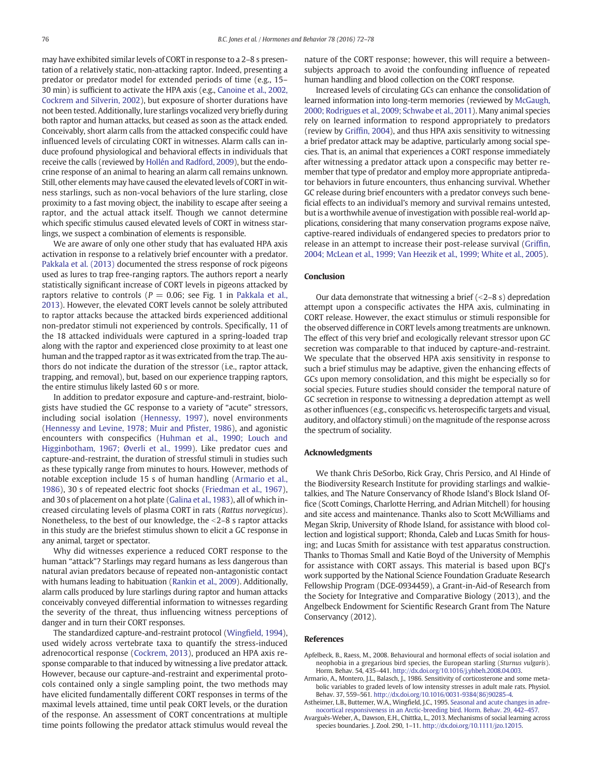may have exhibited similar levels of CORT in response to a 2–8 s presentation of a relatively static, non-attacking raptor. Indeed, presenting a predator or predator model for extended periods of time (e.g., 15– 30 min) is sufficient to activate the HPA axis (e.g., Canoine et al., 2002, Cockrem and Silverin, 2002), but exposure of shorter durations have not been tested. Additionally, lure starlings vocalized very briefly during both raptor and human attacks, but ceased as soon as the attack ended. Conceivably, short alarm calls from the attacked conspecific could have influenced levels of circulating CORT in witnesses. Alarm calls can induce profound physiological and behavioral effects in individuals that receive the calls (reviewed by Hollén and Radford, 2009), but the endocrine response of an animal to hearing an alarm call remains unknown. Still, other elements may have caused the elevated levels of CORT in witness starlings, such as non-vocal behaviors of the lure starling, close proximity to a fast moving object, the inability to escape after seeing a raptor, and the actual attack itself. Though we cannot determine which specific stimulus caused elevated levels of CORT in witness starlings, we suspect a combination of elements is responsible.

We are aware of only one other study that has evaluated HPA axis activation in response to a relatively brief encounter with a predator. Pakkala et al. (2013) documented the stress response of rock pigeons used as lures to trap free-ranging raptors. The authors report a nearly statistically significant increase of CORT levels in pigeons attacked by raptors relative to controls ( $P = 0.06$ ; see Fig. 1 in Pakkala et al., 2013). However, the elevated CORT levels cannot be solely attributed to raptor attacks because the attacked birds experienced additional non-predator stimuli not experienced by controls. Specifically, 11 of the 18 attacked individuals were captured in a spring-loaded trap along with the raptor and experienced close proximity to at least one human and the trapped raptor as it was extricated from the trap. The authors do not indicate the duration of the stressor (i.e., raptor attack, trapping, and removal), but, based on our experience trapping raptors, the entire stimulus likely lasted 60 s or more.

In addition to predator exposure and capture-and-restraint, biologists have studied the GC response to a variety of "acute" stressors, including social isolation (Hennessy, 1997), novel environments (Hennessy and Levine, 1978; Muir and Pfister, 1986), and agonistic encounters with conspecifics (Huhman et al., 1990; Louch and Higginbotham, 1967; Øverli et al., 1999). Like predator cues and capture-and-restraint, the duration of stressful stimuli in studies such as these typically range from minutes to hours. However, methods of notable exception include 15 s of human handling (Armario et al., 1986), 30 s of repeated electric foot shocks (Friedman et al., 1967), and 30 s of placement on a hot plate (Galina et al., 1983), all of which increased circulating levels of plasma CORT in rats (Rattus norvegicus). Nonetheless, to the best of our knowledge, the  $\leq$ 2–8 s raptor attacks in this study are the briefest stimulus shown to elicit a GC response in any animal, target or spectator.

Why did witnesses experience a reduced CORT response to the human "attack"? Starlings may regard humans as less dangerous than natural avian predators because of repeated non-antagonistic contact with humans leading to habituation (Rankin et al., 2009). Additionally, alarm calls produced by lure starlings during raptor and human attacks conceivably conveyed differential information to witnesses regarding the severity of the threat, thus influencing witness perceptions of danger and in turn their CORT responses.

The standardized capture-and-restraint protocol (Wingfield, 1994), used widely across vertebrate taxa to quantify the stress-induced adrenocortical response (Cockrem, 2013), produced an HPA axis response comparable to that induced by witnessing a live predator attack. However, because our capture-and-restraint and experimental protocols contained only a single sampling point, the two methods may have elicited fundamentally different CORT responses in terms of the maximal levels attained, time until peak CORT levels, or the duration of the response. An assessment of CORT concentrations at multiple time points following the predator attack stimulus would reveal the nature of the CORT response; however, this will require a betweensubjects approach to avoid the confounding influence of repeated human handling and blood collection on the CORT response.

Increased levels of circulating GCs can enhance the consolidation of learned information into long-term memories (reviewed by McGaugh, 2000; Rodrigues et al., 2009; Schwabe et al., 2011). Many animal species rely on learned information to respond appropriately to predators (review by Griffin, 2004), and thus HPA axis sensitivity to witnessing a brief predator attack may be adaptive, particularly among social species. That is, an animal that experiences a CORT response immediately after witnessing a predator attack upon a conspecific may better remember that type of predator and employ more appropriate antipredator behaviors in future encounters, thus enhancing survival. Whether GC release during brief encounters with a predator conveys such beneficial effects to an individual's memory and survival remains untested, but is a worthwhile avenue of investigation with possible real-world applications, considering that many conservation programs expose naïve, captive-reared individuals of endangered species to predators prior to release in an attempt to increase their post-release survival (Griffin, 2004; McLean et al., 1999; Van Heezik et al., 1999; White et al., 2005).

#### **Conclusion**

Our data demonstrate that witnessing a brief  $($  < 2–8 s) depredation attempt upon a conspecific activates the HPA axis, culminating in CORT release. However, the exact stimulus or stimuli responsible for the observed difference in CORT levels among treatments are unknown. The effect of this very brief and ecologically relevant stressor upon GC secretion was comparable to that induced by capture-and-restraint. We speculate that the observed HPA axis sensitivity in response to such a brief stimulus may be adaptive, given the enhancing effects of GCs upon memory consolidation, and this might be especially so for social species. Future studies should consider the temporal nature of GC secretion in response to witnessing a depredation attempt as well as other influences (e.g., conspecific vs. heterospecific targets and visual, auditory, and olfactory stimuli) on the magnitude of the response across the spectrum of sociality.

#### Acknowledgments

We thank Chris DeSorbo, Rick Gray, Chris Persico, and Al Hinde of the Biodiversity Research Institute for providing starlings and walkietalkies, and The Nature Conservancy of Rhode Island's Block Island Office (Scott Comings, Charlotte Herring, and Adrian Mitchell) for housing and site access and maintenance. Thanks also to Scott McWilliams and Megan Skrip, University of Rhode Island, for assistance with blood collection and logistical support; Rhonda, Caleb and Lucas Smith for housing; and Lucas Smith for assistance with test apparatus construction. Thanks to Thomas Small and Katie Boyd of the University of Memphis for assistance with CORT assays. This material is based upon BCJ's work supported by the National Science Foundation Graduate Research Fellowship Program (DGE-0934459), a Grant-in-Aid-of Research from the Society for Integrative and Comparative Biology (2013), and the Angelbeck Endowment for Scientific Research Grant from The Nature Conservancy (2012).

#### References

- Apfelbeck, B., Raess, M., 2008. Behavioural and hormonal effects of social isolation and neophobia in a gregarious bird species, the European starling (Sturnus vulgaris). Horm. Behav. 54, 435–441. http://dx.doi.org/10.1016/j.yhbeh.2008.04.003.
- Armario, A., Montero, J.L., Balasch, J., 1986. Sensitivity of corticosterone and some metabolic variables to graded levels of low intensity stresses in adult male rats. Physiol. Behav. 37, 559–561. http://dx.doi.org/10.1016/0031-9384(86)90285-4.
- Astheimer, L.B., Buttemer, W.A., Wingfield, J.C., 1995. Seasonal and acute changes in adrenocortical responsiveness in an Arctic-breeding bird. Horm. Behav. 29, 442–457.
- Avarguès-Weber, A., Dawson, E.H., Chittka, L., 2013. Mechanisms of social learning across species boundaries. J. Zool. 290, 1–11. http://dx.doi.org/10.1111/jzo.12015.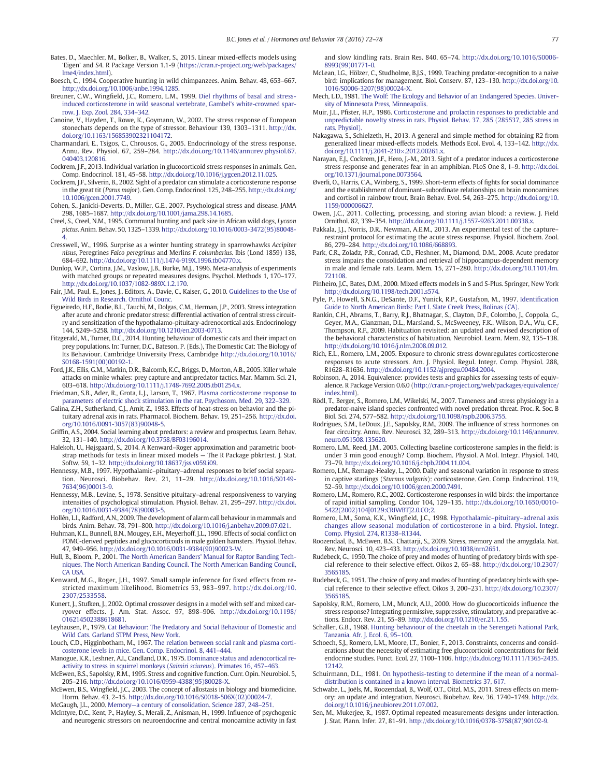- Bates, D., Maechler, M., Bolker, B., Walker, S., 2015. Linear mixed-effects models using 'Eigen' and S4. R Package Version 1.1-9 (https://cran.r-project.org/web/packages/ lme4/index.html).
- Boesch, C., 1994. Cooperative hunting in wild chimpanzees. Anim. Behav. 48, 653–667. http://dx.doi.org/10.1006/anbe.1994.1285.
- Breuner, C.W., Wingfield, J.C., Romero, L.M., 1999. Diel rhythms of basal and stressinduced corticosterone in wild seasonal vertebrate, Gambel's white-crowned sparrow. J. Exp. Zool. 284, 334–342.
- Canoine, V., Hayden, T., Rowe, K., Goymann, W., 2002. The stress response of European stonechats depends on the type of stressor. Behaviour 139, 1303–1311. http://dx. doi.org/10.1163/156853902321104172.
- Charmandari, E., Tsigos, C., Chrousos, G., 2005. Endocrinology of the stress response. Annu. Rev. Physiol. 67, 259–284. http://dx.doi.org/10.1146/annurev.physiol.67. 040403.120816.
- Cockrem, J.F., 2013. Individual variation in glucocorticoid stress responses in animals. Gen. Comp. Endocrinol. 181, 45–58. http://dx.doi.org/10.1016/j.ygcen.2012.11.025.
- Cockrem, J.F., Silverin, B., 2002. Sight of a predator can stimulate a corticosterone response in the great tit (Parus major). Gen. Comp. Endocrinol. 125, 248–255. http://dx.doi.org/ 10.1006/gcen.2001.7749.
- Cohen, S., Janicki-Deverts, D., Miller, G.E., 2007. Psychological stress and disease. JAMA 298, 1685–1687. http://dx.doi.org/10.1001/jama.298.14.1685.
- Creel, S., Creel, N.M., 1995. Communal hunting and pack size in African wild dogs, Lycaon pictus. Anim. Behav. 50, 1325–1339. http://dx.doi.org/10.1016/0003-3472(95)80048- 4.
- Cresswell, W., 1996. Surprise as a winter hunting strategy in sparrowhawks Accipiter nisus, Peregrines Falco peregrinus and Merlins F. columbarius. Ibis (Lond 1859) 138, 684–692. http://dx.doi.org/10.1111/j.1474-919X.1996.tb04770.x.
- Dunlop, W.P., Cortina, J.M., Vaslow, J.B., Burke, M.J., 1996. Meta-analysis of experiments with matched groups or repeated measures designs. Psychol. Methods 1, 170–177. http://dx.doi.org/10.1037/1082-989X.1.2.170.
- Fair, J.M., Paul, E., Jones, J., Editors, A., Davie, C., Kaiser, G., 2010. Guidelines to the Use of Wild Birds in Research. Ornithol Counc.
- Figueiredo, H.F., Bodie, B.L., Tauchi, M., Dolgas, C.M., Herman, J.P., 2003. Stress integration after acute and chronic predator stress: differential activation of central stress circuitry and sensitization of the hypothalamo-pituitary-adrenocortical axis. Endocrinology 144, 5249–5258. http://dx.doi.org/10.1210/en.2003-0713.
- Fitzgerald, M., Turner, D.C., 2014. Hunting behaviour of domestic cats and their impact on prey populations. In: Turner, D.C., Bateson, P. (Eds.), The Domestic Cat: The Biology of Its Behaviour. Cambridge University Press, Cambridge http://dx.doi.org/10.1016/ S0168-1591(00)00192-1.
- Ford, J.K., Ellis, G.M., Matkin, D.R., Balcomb, K.C., Briggs, D., Morton, A.B., 2005. Killer whale attacks on minke whales: prey capture and antipredator tactics. Mar. Mamm. Sci. 21, 603–618. http://dx.doi.org/10.1111/j.1748-7692.2005.tb01254.x.
- Friedman, S.B., Ader, R., Grota, L.J., Larson, T., 1967. Plasma corticosterone response to parameters of electric shock stimulation in the rat. Psychosom. Med. 29, 322–329.
- Galina, Z.H., Sutherland, C.J., Amit, Z., 1983. Effects of heat-stress on behavior and the pituitary adrenal axis in rats. Pharmacol. Biochem. Behav. 19, 251–256. http://dx.doi. org/10.1016/0091-3057(83)90048-5.
- Griffin, A.S., 2004. Social learning about predators: a review and prospectus. Learn. Behav. 32, 131–140. http://dx.doi.org/10.3758/BF03196014.
- Halekoh, U., Højsgaard, S., 2014. A Kenward–Roger approximation and parametric boot-strap methods for tests in linear mixed models The R Package pbkrtest. J. Stat. Softw. 59, 1–32. http://dx.doi.org/10.18637/jss.v059.i09.
- Hennessy, M.B., 1997. Hypothalamic–pituitary–adrenal responses to brief social separation. Neurosci. Biobehav. Rev. 21, 11–29. http://dx.doi.org/10.1016/S0149- 7634(96)00013-9.
- Hennessy, M.B., Levine, S., 1978. Sensitive pituitary–adrenal responsiveness to varying intensities of psychological stimulation. Physiol. Behav. 21, 295–297. http://dx.doi. org/10.1016/0031-9384(78)90083-5.
- Hollén, L.I., Radford, A.N., 2009. The development of alarm call behaviour in mammals and birds. Anim. Behav. 78, 791–800. http://dx.doi.org/10.1016/j.anbehav.2009.07.021.
- Huhman, K.L., Bunnell, B.N., Mougey, E.H., Meyerhoff, J.L., 1990. Effects of social conflict on POMC-derived peptides and glucocorticoids in male golden hamsters. Physiol. Behav. 47, 949–956. http://dx.doi.org/10.1016/0031-9384(90)90023-W.
- Hull, B., Bloom, P., 2001. The North American Banders' Manual for Raptor Banding Techniques, The North American Banding Council. The North American Banding Council, CA USA.
- Kenward, M.G., Roger, J.H., 1997. Small sample inference for fixed effects from restricted maximum likelihood. Biometrics 53, 983–997. http://dx.doi.org/10. 2307/2533558.
- Kunert, J., Stufken, J., 2002. Optimal crossover designs in a model with self and mixed carryover effects. J. Am. Stat. Assoc. 97, 898–906. http://dx.doi.org/10.1198/ 016214502388618681.
- Leyhausen, P., 1979. Cat Behaviour: The Predatory and Social Behaviour of Domestic and Wild Cats. Garland STPM Press, New York.
- Louch, C.D., Higginbotham, M., 1967. The relation between social rank and plasma corticosterone levels in mice. Gen. Comp. Endocrinol. 8, 441–444.
- Manogue, K.R., Leshner, A.I., Candland, D.K., 1975. Dominance status and adenocortical reactivity to stress in squirrel monkeys (Saimiri sciureus). Primates 16, 457–463.
- McEwen, B.S., Sapolsky, R.M., 1995. Stress and cognitive function. Curr. Opin. Neurobiol. 5, 205–216. http://dx.doi.org/10.1016/0959-4388(95)80028-X.
- McEwen, B.S., Wingfield, J.C., 2003. The concept of allostasis in biology and biomedicine. Horm. Behav. 43, 2–15. http://dx.doi.org/10.1016/S0018-506X(02)00024-7.

McGaugh, J.L., 2000. Memory—a century of consolidation. Science 287, 248–251. McIntyre, D.C., Kent, P., Hayley, S., Merali, Z., Anisman, H., 1999. Influence of psychogenic

and neurogenic stressors on neuroendocrine and central monoamine activity in fast

and slow kindling rats. Brain Res. 840, 65–74. http://dx.doi.org/10.1016/S0006- 8993(99)01771-0.

- McLean, I.G., Hölzer, C., Studholme, B.J.S., 1999. Teaching predator-recognition to a naive bird: implications for management. Biol. Conserv. 87, 123–130. http://dx.doi.org/10. 1016/S0006-3207(98)00024-X.
- Mech, L.D., 1981. The Wolf: The Ecology and Behavior of an Endangered Species. University of Minnesota Press, Minneapolis.
- Muir, J.L., Pfister, H.P., 1986. Corticosterone and prolactin responses to predictable and unpredictable novelty stress in rats. Physiol. Behav. 37, 285 (285537, 285 stress in rats. Physiol).
- Nakagawa, S., Schielzeth, H., 2013. A general and simple method for obtaining R2 from generalized linear mixed-effects models. Methods Ecol. Evol. 4, 133–142. http://dx. doi.org/10.1111/j.2041-210×.2012.00261.x.
- Narayan, E.J., Cockrem, J.F., Hero, J.-M., 2013. Sight of a predator induces a corticosterone stress response and generates fear in an amphibian. PLoS One 8, 1–9. http://dx.doi. org/10.1371/journal.pone.0073564.
- Øverli, O., Harris, C.A., Winberg, S., 1999. Short-term effects of fights for social dominance and the establishment of dominant–subordinate relationships on brain monoamines and cortisol in rainbow trout. Brain Behav. Evol. 54, 263–275. http://dx.doi.org/10. 1159/000006627.
- Owen, J.C., 2011. Collecting, processing, and storing avian blood: a review. J. Field Ornithol. 82, 339–354. http://dx.doi.org/10.1111/j.1557-9263.2011.00338.x.
- Pakkala, J.J., Norris, D.R., Newman, A.E.M., 2013. An experimental test of the capture– restraint protocol for estimating the acute stress response. Physiol. Biochem. Zool. 86, 279–284. http://dx.doi.org/10.1086/668893.
- Park, C.R., Zoladz, P.R., Conrad, C.D., Fleshner, M., Diamond, D.M., 2008. Acute predator stress impairs the consolidation and retrieval of hippocampus-dependent memory in male and female rats. Learn. Mem. 15, 271–280. http://dx.doi.org/10.1101/lm. 721108.
- Pinheiro, J.C., Bates, D.M., 2000. Mixed effects models in S and S-Plus. Springer, New York http://dx.doi.org/10.1198/tech.2001.s574.
- Pyle, P., Howell, S.N.G., DeSante, D.F., Yunick, R.P., Gustafson, M., 1997. Identification Guide to North American Birds: Part I. Slate Creek Press, Bolinas (CA).
- Rankin, C.H., Abrams, T., Barry, R.J., Bhatnagar, S., Clayton, D.F., Colombo, J., Coppola, G., Geyer, M.A., Glanzman, D.L., Marsland, S., McSweeney, F.K., Wilson, D.A., Wu, C.F., Thompson, R.F., 2009. Habituation revisited: an updated and revised description of the behavioral characteristics of habituation. Neurobiol. Learn. Mem. 92, 135–138. http://dx.doi.org/10.1016/j.nlm.2008.09.012.
- Rich, E.L., Romero, L.M., 2005. Exposure to chronic stress downregulates corticosterone responses to acute stressors. Am. J. Physiol. Regul. Integr. Comp. Physiol. 288, R1628–R1636. http://dx.doi.org/10.1152/ajpregu.00484.2004.
- Robinson, A., 2014. Equivalence: provides tests and graphics for assessing tests of equivalence. R Package Version 0.6.0 (http://cran.r-project.org/web/packages/equivalence/ index.html).
- Rödl, T., Berger, S., Romero, L.M., Wikelski, M., 2007. Tameness and stress physiology in a predator-naive island species confronted with novel predation threat. Proc. R. Soc. B Biol. Sci. 274, 577–582. http://dx.doi.org/10.1098/rspb.2006.3755.
- Rodrigues, S.M., LeDoux, J.E., Sapolsky, R.M., 2009. The influence of stress hormones on fear circuitry. Annu. Rev. Neurosci. 32, 289–313. http://dx.doi.org/10.1146/annurev. neuro.051508.135620.
- Romero, L.M., Reed, J.M., 2005. Collecting baseline corticosterone samples in the field: is under 3 min good enough? Comp. Biochem. Physiol. A Mol. Integr. Physiol. 140, 73–79. http://dx.doi.org/10.1016/j.cbpb.2004.11.004.
- Romero, L.M., Remage-Healey, L., 2000. Daily and seasonal variation in response to stress in captive starlings (Sturnus vulgaris): corticosterone. Gen. Comp. Endocrinol. 119, 52–59. http://dx.doi.org/10.1006/gcen.2000.7491.
- Romero, L.M., Romero, R.C., 2002. Corticosterone responses in wild birds: the importance of rapid initial sampling. Condor 104, 129–135. http://dx.doi.org/10.1650/0010- 5422(2002)104[0129:CRIWBT]2.0.CO;2.
- Romero, L.M., Soma, K.K., Wingfield, J.C., 1998. Hypothalamic–pituitary–adrenal axis changes allow seasonal modulation of corticosterone in a bird. Physiol. Integr. Comp. Physiol. 274, R1338–R1344.
- Roozendaal, B., McEwen, B.S., Chattarji, S., 2009. Stress, memory and the amygdala. Nat. Rev. Neurosci. 10, 423–433. http://dx.doi.org/10.1038/nrn2651.
- Rudebeck, G., 1950. The choice of prey and modes of hunting of predatory birds with special reference to their selective effect. Oikos 2, 65–88. http://dx.doi.org/10.2307/ 3565185.
- Rudebeck, G., 1951. The choice of prey and modes of hunting of predatory birds with special reference to their selective effect. Oikos 3, 200–231. http://dx.doi.org/10.2307/ 3565185.
- Sapolsky, R.M., Romero, L.M., Munck, A.U., 2000. How do glucocorticoids influence the stress response? Integrating permissive, suppressive, stimulatory, and preparative actions. Endocr. Rev. 21, 55–89. http://dx.doi.org/10.1210/er.21.1.55.
- Schaller, G.B., 1968. Hunting behaviour of the cheetah in the Serengeti National Park, Tanzania. Afr. J. Ecol. 6, 95–100.
- Schoech, S.J., Romero, L.M., Moore, I.T., Bonier, F., 2013. Constraints, concerns and considerations about the necessity of estimating free glucocorticoid concentrations for field endocrine studies. Funct. Ecol. 27, 1100–1106. http://dx.doi.org/10.1111/1365-2435. 12142.
- Schuirmann, D.L., 1981. On hypothesis-testing to determine if the mean of a normaldistribution is contained in a known interval. Biometrics 37, 617.
- Schwabe, L., Joëls, M., Roozendaal, B., Wolf, O.T., Oitzl, M.S., 2011. Stress effects on memory: an update and integration. Neurosci. Biobehav. Rev. 36, 1740–1749. http://dx. doi.org/10.1016/j.neubiorev.2011.07.002.
- Sen, M., Mukerjee, R., 1987. Optimal repeated measurements designs under interaction. J. Stat. Plann. Infer. 27, 81–91. http://dx.doi.org/10.1016/0378-3758(87)90102-9.